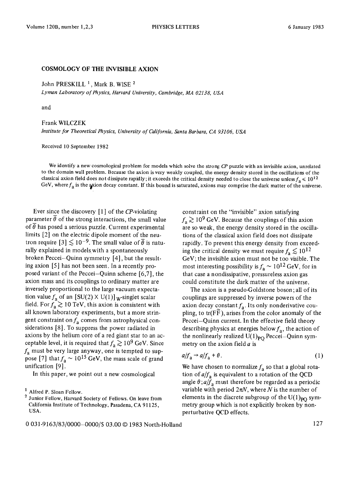## COSMOLOGY OF THE INVISIBLE AXION

John PRESKILL<sup>1</sup>, Mark B. WISE<sup>2</sup>

*Lyman Laboratory of Physics, Harvard University, Cambridge, MA 02138, USA* 

and

## Frank WlLCZEK

*Institute for Theoretical Physics, University of California, Santa Barbara, CA 93106, USA* 

Received 10 September 1982

We identify a new cosmological problem for models which solve the strong *CP* puzzle with an invisible axion, unrelated to the domain wall problem. Because the axion is very weakly coupled, the energy density stored in the oscillations of the classical axion field does not dissipate rapidly; it exceeds the critical density needed to close the universe unless  $f_a \le 10^{12}$ GeV, where  $f_a$  is the axion decay constant. If this bound is saturated, axions may comprise the dark matter of the universe.

Ever since the discovery  $[1]$  of the CP-violating parameter  $\overline{\theta}$  of the strong interactions, the small value of  $\overline{\theta}$  has posed a serious puzzle. Current experimental limits [2] on the electric dipole moment of the neutron require  $[3] \lesssim 10^{-9}$ . The small value of  $\overline{\theta}$  is naturally explained in models with a spontaneously broken Peccei-Quinn symmetry [4], but the resulting axion [5] has not been seen. In a recently proposed variant of the Peccei-Quinn scheme [6,7], the axion mass and its couplings to ordinary matter are inversely proportional to the large vacuum expectation value  $f_a$  of an  $[SU(2) \times U(1)]$ <sub>W</sub>-singlet scalar field. For  $f_a \gtrsim 10$  TeV, this axion is consistent with all known laboratory experiments, but a more stringent constraint on  $f_a$  comes from astrophysical considerations [8]. To suppress the power radiated in axions by the helium core of a red giant star to an acceptable level, it is required that  $f_{\rm a} \gtrsim 10^9$  GeV. Since  $f_a$  must be very large anyway, one is tempted to suppose [7] that  $f_a \sim 10^{15}$  GeV, the mass scale of grand unification [9].

In this paper, we point out a new cosmological

constraint on the "invisible" axion satisfying  $f_a \gtrsim 10^9$  GeV. Because the couplings of this axion are so weak, the energy density stored in the oscillations of the classical axion field does not dissipate rapidly. To prevent this energy density from exceeding the critical density we must require  $f_a \lesssim 10^{12}$ GeV; the invisible axion must not be too visible. The most interesting possibility is  $f_a \sim 10^{12}$  GeV, for in that case a nondissipative, pressureless axion gas could constitute the dark matter of the universe.

The axion is a pseudo-Goldstone boson ; all of its couplings are suppressed by inverse powers of the axion decay constant  $f_a$ . Its only nonderivative coupling, to  $tr(F\widetilde{F})$ , arises from the color anomaly of the Peccei-Quinn current. In the effective field theory describing physics at energies below  $f_a$ , the action of the nonlinearly realized  $U(1)_{PO}$  Peccei-Quinn symmetry on the axion field  $a$  is

$$
a/f_a \to a/f_a + \theta. \tag{1}
$$

We have chosen to normalize  $f_a$  so that a global rotation of  $a/f_a$  is equivalent to a rotation of the QCD angle  $\theta$ ;  $a/f_a$  must therefore be regarded as a periodic variable with period  $2\pi N$ , where N is the number of elements in the discrete subgroup of the  $U(1)_{PQ}$  symmetry group which is not explicitly broken by nonperturbative QCD effects.

<sup>1</sup> Alfred P. Sloan Fellow.

<sup>2</sup> Junior Fellow, Harvard Society of Fellows. On leave from California Institute of Technology, Pasadena, CA 91125, USA.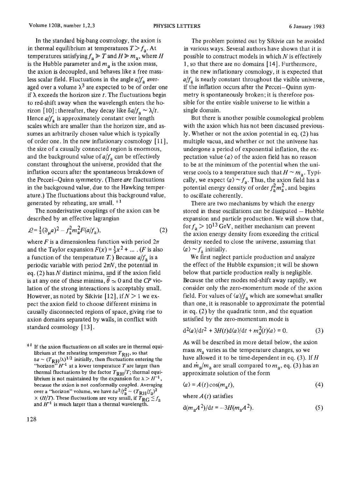In the standard big-bang cosmology, the axion is in thermal equilibrium at temperatures  $T>f_a$ . At temperatures satisfying  $f_a \geq T$  and  $H \geq m_a$ , where H is the Hubble parameter and  $m<sub>a</sub>$  is the axion mass, the axion is decoupled, and behaves like a free massless scalar field. Fluctuations in the angle  $a/f_a$  averaged over a volume  $\lambda^3$  are expected to be of order one if  $\lambda$  exceeds the horizon size t. The fluctuations begin to red-shift away when the wavelength enters the horizon [10]; thereafter, they decay like  $\delta a/f_a \sim \lambda/t$ . Hence  $a/f_a$  is approximately constant over length scales which are smaller than the horizon size, and assumes an arbitrarily chosen value which is typically of order one. In the new inflationary cosmology [ 11 ], the size of a causally connected region is enormous, and the background value of  $a/f_a$  can be effectively constant throughout the universe, provided that the inflation occurs after the spontaneous breakdown of the Peccei-Quinn symmetry. (There *are* fluctuations in the background value, due to the Hawking temperature.) The fluctuations about this background value, generated by reheating, are small.  $^{\pm 1}$ 

The nonderivative couplings of the axion can be described by an effective lagrangian

$$
\mathcal{L} = \frac{1}{2} (\partial_{\mu} a)^2 - f_a^2 m_a^2 F(a/f_a), \tag{2}
$$

where F is a dimensionless function with period  $2\pi$ and the Taylor expansion  $F(x) = \frac{1}{2}x^2 + ...$  (*F* is also a function of the temperature T.) Because  $a/f_a$  is a periodic variable with period  $2\pi N$ , the potential in eq. (2) has  $N$  distinct minima, and if the axion field is at any one of these minima,  $\theta \approx 0$  and the *CP* violation of the strong interactions is acceptably small. However, as noted by Sikivie [12], if  $N > 1$  we expect the axion field to choose different minima in causally disconnected regions of space, giving rise to axion domains separated by walls, in conflict with standard cosmology [13].

 $*$ <sup>1</sup> If the axion fluctuations on all scales are in thermal equilibrium at the reheating temperature  $T_{\rm RH}$ , so that  $\delta a \sim (T_{\rm RH}/\lambda)^{1/2}$  initially, then fluctuations entering the "horizon"  $H^{-1}$  at a lower temperature T are larger than thermal fluctuations by the factor  $T_{\rm RH}/T$ ; thermal equilibrium is not maintained by the expansion for  $\lambda > H^{-1}$ , because the axion is not conformally coupled. Averaging over a "horizon" volume, we have  $\delta a^2/f_a^2 \sim (T_{\rm RH}/f_a)^2$  $\times$  (*H*/*T*). These fluctuations are very small, if  $T_{RG} \le f_a$ and  $H^{-1}$  is much larger than a thermal wavelength.

The problem pointed out by Sikivie can be avoided in various ways. Several authors have shown that it is possible to construct models in which  $N$  is effectively 1, so that there are no domains [ 14]. Furthermore, in the new inflationary cosmology, it is expected that  $a/f_a$  is nearly constant throughout the visible universe, if the inflation occurs after the Peccei-Quinn symmetry is spontaneously broken; it is therefore possible for the entire visible universe to lie within a single domain.

But there is another possible cosmological problem with the axion which has not been discussed previously. Whether or not the axion potential in eq. (2) has multiple vacua, and whether or not the universe has undergone a period of exponential inflation, the expectation value  $\langle a \rangle$  of the axion field has no reason to be at the minimum of the potential when the universe cools to a temperature such that  $H \sim m_a$ . Typically, we expect  $\langle a \rangle \sim f_a$ . Thus, the axion field has a potential energy density of order  $f_a^2m_a^2$ , and begins to oscillate coherently.

There are two mechanisms by which the energy stored in these oscillations can be dissipated  $-$  Hubble expansion and particle production. We will show that, for  $f_a > 10^{13}$  GeV, neither mechanism can prevent the axion energy density from exceeding the critical density needed to close the universe, assuming that  $\langle a \rangle \sim f_a$  initially.

We first neglect particle production and analyze the effect of the Hubble expansion ; it will be shown below that particle production really is negligible. Because the other modes red-shift away rapidly, we consider only the zero-momentum mode of the axion field. For values of  $\langle a \rangle / f_a$  which are somewhat smaller than one, it is reasonable to approximate the potential in eq. (2) by the quadratic term, and the equation satisfied by the zero-momentum mode is

$$
\frac{d^2\langle a\rangle}{dt^2} + \frac{3H(t)}{\Delta} \frac{d\langle a\rangle}{dt} + m_a^2(t)\langle a\rangle = 0.
$$
 (3)

As will be described in more detail below, the axion mass  $m_a$  varies as the temperature changes, so we have allowed it to be time-dependent in eq. (3). If  $H$ and  $\dot{m}_a/m_a$  are small compared to  $m_a$ , eq. (3) has an approximate solution of the form

$$
\langle a \rangle = A(t) \cos(m_a t), \tag{4}
$$

where  $A(t)$  satisfies

$$
d(m_a A^2)/dt = -3H(m_a A^2). \tag{5}
$$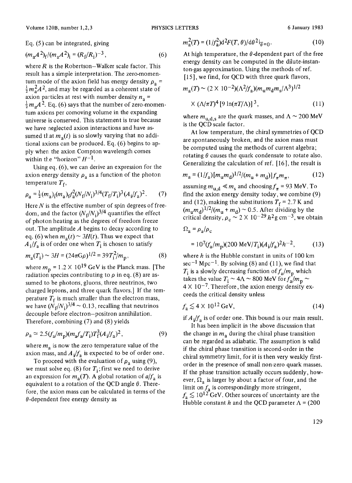Eq. (5) can be integrated, giving

$$
(m_a A^2)_f / (m_a A^2)_i = (R_f / R_i)^{-3}, \qquad (6)
$$

where  $R$  is the Robertson-Walker scale factor. This result has a simple interpretation. The zero-momentum mode of the axion field has energy density  $\rho_a$  =  $\frac{1}{2}m_a^2A^2$ , and may be regarded as a coherent state of axion particles at rest with number density  $n_a$  =  $\frac{1}{2}m_{\alpha}A^{2}$ . Eq. (6) says that the number of zero-momentum axions per comoving volume in the expanding universe is conserved. This statement is true because we have aeglected axion interactions and have assumed that  $m_a(t)$  is so slowly varying that no additional axions can be produced. Eq. (6) begins to ap $p$ ly where the axion Compton wavelength comes within the "horizon"  $H^{-1}$ .

Using eq. (6), we can derive an expression for the axion energy density  $\rho_a$  as a function of the photon temperature  $T_f$ ,

$$
\rho_{\rm a} = \frac{1}{2} (m_{\rm a})_{\rm i} (m_{\rm a})_{\rm f} f_{\rm a}^2 (N_{\rm f}/N_{\rm i})^{3/4} (T_{\rm f}/T_{\rm i})^3 (A_{\rm i}/f_{\rm a})^2. \tag{7}
$$

Here  $N$  is the effective number of spin degrees of freedom, and the factor  $(N_f/N_i)^{3/4}$  quantifies the effect of photon heating as the degrees of freedom freeze out. The amplitude  $A$  begins to decay according to eq. (6) when  $m_a(t) \sim 3H(t)$ . Thus we expect that  $A_i/f_a$  is of order one when  $T_i$  is chosen to satisfy

$$
m_{\rm a}(T_{\rm i}) \sim 3H = (24\pi G\rho)^{1/2} = 39T_{\rm i}^2/m_{\rm p},\tag{8}
$$

where  $m_p = 1.2 \times 10^{19}$  GeV is the Planck mass. [The radiation species contributing to  $\rho$  in eq. (8) are assumed to be photons, gluons, three neutrinos, two charged leptons, and three quark flavors.] If the temperature  $T_f$  is much smaller than the electron mass, we have  $(N_f/N_i)^{3/4} \sim 0.13$ , recalling that neutrinos decouple before electron-positron annihilation. Therefore, combining (7) and (8) yields

$$
\rho_a \simeq 2.5(f_a/m_p)(m_a f_a/T_i) T_f^3 (A_i/f_a)^2, \tag{9}
$$

where  $m_a$  is now the zero temperature value of the axion mass, and  $A_i/f_a$  is expected to be of order one.

To proceed with the evaluation of  $\rho_a$  using (9), we must solve eq. (8) for  $T_i$ ; first we need to derive an expression for  $m_a(T)$ . A global rotation of  $a/f_a$  is equivalent to a rotation of the QCD angle  $\theta$ . Therefore, the axion mass can be calculated in terms of the  $\theta$ -dependent free energy density as

$$
m_a^2(T) = (1/f_a^2) d^2 F(T, \theta) / d\theta^2 \vert_{\theta=0}.
$$
 (10)

At high temperature, the  $\theta$ -dependent part of the free energy density can be computed in the dilute-instanton-gas approximation. Using the methods of ref. [15], we find, for QCD with three quark flavors,

$$
m_a(T) \sim (2 \times 10^{-2}) (\Lambda^2 / f_a) (m_u m_d m_s / \Lambda^3)^{1/2}
$$
  
 
$$
\times (\Lambda / \pi T)^4 [9 \ln(\pi T / \Lambda)]^3, \qquad (11)
$$

where  $m_{\text{u.d.s}}$  are the quark masses, and  $\Lambda \sim 200 \text{ MeV}$ is the QCD scale factor.

At low temperature, the chiral symmetries of QCD are spontaneously broken, and the axion mass must be computed using the methods of current algebra; rotating  $\theta$  causes the quark condensate to rotate also. Generalizing the calculation of ref. [16], the result is

$$
m_{\rm a} = (1/f_{\rm a}) [m_{\rm u} m_{\rm d}]^{1/2} / (m_{\rm u} + m_{\rm d})] f_{\pi} m_{\pi},\tag{12}
$$

assuming  $m_{u,d} \ll m_s$  and choosing  $f_{\pi}$  = 93 MeV. To find the axion energy density today, we combine (9) and (12), making the substitutions  $T_f = 2.7$  K and  $(m_{\rm u}m_{\rm d})^{1/2}/(m_{\rm u}+m_{\rm d}) \sim 0.5$ . After dividing by the critical density,  $\rho_c \sim 2 \times 10^{-29} h^2 g \text{ cm}^{-3}$ , we obtain

$$
\Omega_{\rm a} = \rho_{\rm a}/\rho_{\rm c}
$$

$$
= 107(fa/mp)(200 MeV/Ti)(Ai/fa)2h-2,
$$
 (13)

where  $h$  is the Hubble constant in units of 100 km  $\sec^{-1}$  Mpc<sup>-1</sup>. By solving (8) and (11), we find that  $T_i$  is a slowly decreasing function of  $f_a/m_p$  which takes the value  $T_i \sim 4\Lambda \sim 800$  MeV for  $f_a/m_p \sim$  $4 \times 10^{-7}$ . Therefore, the axion energy density exceeds the critical density unless

$$
f_{\rm a} \lesssim 4 \times 10^{12} \,\text{GeV},\tag{14}
$$

if  $A_i/f_a$  is of order one. This bound is our main result.

It has been implicit in the above discussion that the change in  $m<sub>a</sub>$  during the chiral phase transition can be regarded as adiabatic. The assumption is valid if the chiral phase transition is second-order in the chiral symmetry limit, for it is then very weakly firstorder in the presence of small non-zero quark masses. If the phase transition actually occurs suddenly, however,  $\Omega_a$  is larger by about a factor of four, and the limit on  $f_a$  is correspondingly more stringent,  $f_{\rm a} \lesssim 10^{12}$  GeV. Other sources of uncertainty are the Hubble constant h and the QCD parameter  $\Lambda$  = (200)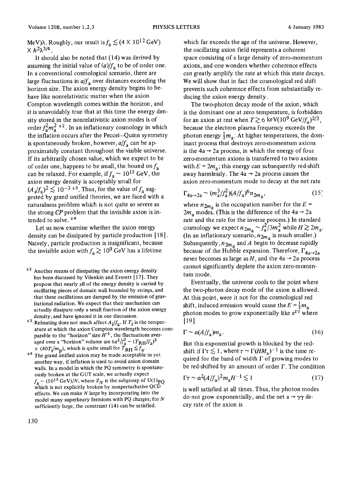MeV) $\lambda$ . Roughly, our result is  $f_a \lesssim (4 \times 10^{12} \text{ GeV})$  $\times h^2\lambda^{3/4}$ .

It should also be noted that (14) was derived by assuming the initial value of  $\langle a \rangle / f_a$  to be of order one. In a conventional cosmological scenario, there are large fluctuations in  $a/f_a$  over distances exceeding the horizon size. The axion energy density begins to behave like nonrelativistic matter when the axion Compton wavelength comes within the horizon, and it is unavoidably true that at this time the energy density stored in the nonrelativistic axion modes is of order  $f_a^2 m_a^2$ <sup>+2</sup>. In an inflationary cosmology in which the inflation occurs after the Peccei-Quinn symmetry is spontaneously broken, however,  $a/f_a$  can be approximately constant throughout the visible universe. If its arbitrarily chosen value, which we expect to be of order one, happens to be small, the bound on  $f_a$ can be relaxed. For example, if  $f_a \sim 10^{15}$  GeV, the axion energy density is acceptably small for  $(A_i/f_a)^2 \lesssim 10^{-3}$ <sup>+3</sup>. Thus, for the value of  $f_a$  suggested by grand unified theories, we are faced with a naturalness problem which is not quite so severe as the strong *CP* problem that the invisible axion is intended to solve.  $*4$ 

Let us now examine whether the axion energy density can be dissipated by particle production [18]. Naively, particle production is insignificant, because the invisible axion with  $f_a \gtrsim 10^9$  GeV has a lifetime

- $*<sup>2</sup>$  Another means of dissipating the axion energy density has been discussed by Vilenkin and Everett [17]. They propose that nearly all of the energy density is carried by oscillating pieces of domain wall bounded by strings, and that these oscillations are damped by the emission of gravitational radiation. We expect that their mechanism can actually dissipate only a small fraction of the axion energy density, and have ignored it in our discussion.
- <sup> $\pm 3$ </sup> Reheating does not much affect  $A_i/f_a$ . If  $T_i$  is the temperature at which the axion Compton wavelength becomes comparable to the "horizon" size  $H^{-1}$ , the fluctuations averaged over a "horizon" volume are  $\delta a^2/f_a^2 \sim (T_{\rm RH}/f_a)^2$  $\times$  (40T<sub>i</sub>/m<sub>p</sub>), which is quite small for  $\overline{T}_{\text{RH}} \lesssim \overline{f}_a$ .
- <sup>#4</sup> The grand unified axion may be made acceptable in yet another way, if inflation is used to avoid axion domain walls. In a model in which the PQ symmetry is spontaneously broken at the GUT scale, we actually expect  $f_a \sim (10^{15} \text{ GeV})/N$ , where  $Z_N$  is the subgroup of U(1)<sub>PQ</sub> which is not explicitly broken by nonperturbative QCD effects. We can make  $N$  large by incorporating into the model many superheavy fermions with PQ charges; for N sufficiently large, the constraint (14) can be satisfied.

which far exceeds the age of the universe. However, the oscillating axion field represents a coherent space consisting of a large density of zero-momentum axions, and one wonders whether coherence effects can greatly amplify the rate at which this state decays. We will show that in fact the cosmological red shift prevents such coherence effects from substantially reducing the axion energy density.

The two-photon decay mode of the axion, which is the dominant one at zero temperature, is forbidden for an axion at rest when  $T \gtrsim 6 \text{ keV} (10^9 \text{ GeV}/f_a)^{2/3}$ , because the electron plasma frequency exceeds the photon energy  $\frac{1}{2}m_a$ . At higher temperatures, the dominant process that destroys zero-momentum axions is the  $4a \rightarrow 2a$  process, in which the energy of four zero-momentum axions is transferred to two axions with  $E = 2m_a$ ; this energy can subsequently red-shift away harmlessly. The  $4a \rightarrow 2a$  process causes the axion zero-momentum mode to decay at the net rate

$$
\Gamma_{4a \to 2a} \sim (m_a^3 / f_a^2) (A / f_a)^6 n_{2m_a},
$$
\n(15)

where  $n_{2m_3}$  is the occupation number for the  $E =$  $2m<sub>a</sub>$  modes. (This is the difference of the 4a  $\rightarrow$  2a rate and the rate for the inverse process.) In standard cosmology we expect  $n_{2m_a} \sim f_a^2/3m_a^2$  while  $H \gtrsim 2m_a$ . (In an inflationary scenario,  $n_{2m_a}$  is much smaller.) Subsequently,  $n_{2m_2}$  and A begin to decrease rapidly because of the Hubble expansion. Therefore,  $\Gamma_{4a\rightarrow 2a}$ never becomes as large as H, and the  $4a \rightarrow 2a$  process cannot significantly deplete the axion zero-momentum mode.

Eventually, the universe cools to the point where the two-photon decay mode of the axion is allowed. At this point, were it not for the cosmological red shift, induced emission would cause the  $E = \frac{1}{2}m_a$ photon modes to grow exponentially like  $e^{\Gamma t}$  where [19]

$$
\Gamma \sim \alpha (A/f_a) m_a. \tag{16}
$$

But this exponential growth is blocked by the redshift if  $\Gamma \tau \lesssim 1$ , where  $\tau \sim \Gamma(HM_A)^{-1}$  is the time required for the band of width  $\Gamma$  of growing modes to be red-shifted by an amount of order  $\Gamma$ . The condition

$$
\Gamma \tau \sim \alpha^2 (A/f_a)^2 m_a H^{-1} \lesssim 1 \tag{17}
$$

is well satisfied at all times. Thus, the photon modes do not grow exponentially, and the net  $a \rightarrow \gamma \gamma$  decay rate of the axion is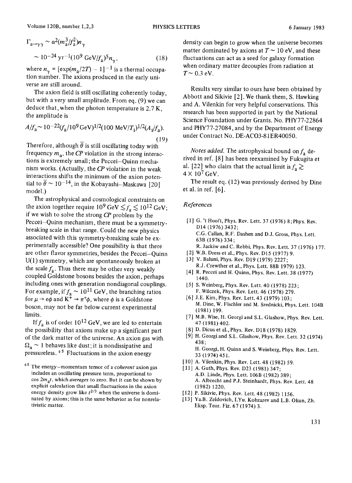$$
\Gamma_{a\to\gamma\gamma} \sim \alpha^2 (m_a^3 / f_a^2) n_\gamma
$$
  
 
$$
\sim 10^{-24} \text{ yr}^{-1} (10^9 \text{ GeV} / f_a)^5 n_\gamma,
$$
 (18)

where  $n_{\gamma}$  = [exp( $m_{\rm a}/2T$ ) - 1]<sup>-1</sup> is a thermal occupation number. The axions produced in the early universe are still around.

The axion field is still oscillating coherently today, but with a very small amplitude. From eq. (9) we can deduce that, when the photon temperature is 2.7 K, the amplitude is

$$
A/f_a \sim 10^{-22} (f_a/10^9 \,\text{GeV})^{1/2} (100 \,\text{MeV}/T_i)^{1/2} (A_i/f_a).
$$
\n(19)

Therefore, although  $\bar{\theta}$  is still oscillating today with frequency  $m_a$ , the *CP* violation in the strong interactions is extremely small; the Peccei-Quinn mechanism works. (Actually, the *CP* violation in the weak interactions shifts the minimum of the axion potential to  $\bar{\theta} \sim 10^{-14}$ , in the Kobayashi-Maskawa [20] model.)

The astrophysical and cosmological constraints on the axion together require  $10^9 \text{ GeV} \lesssim f_a \lesssim 10^{12} \text{ GeV};$ if we wish to solve the strong *CP* problem by the Peccei-Quinn mechanism, there must be a symmetrybreaking scale in that range. Could the new physics associated with this symmetry-breaking scale be experimentally accessible? One possibility is that there are other flavor symmetries, besides the Peccei-Ouinn U(1) symmetry, which are spontaneously broken at the scale  $f_a$ . Thus there may be other very weakly coupled Goldstone bosons besides the axion, perhaps including ones with generation nondiagonal couplings. For example, if  $f_a \sim 10^{11}$  GeV, the branching ratios for  $\mu \rightarrow e\phi$  and  $K^+ \rightarrow \pi^+\phi$ , where  $\phi$  is a Goldstone boson, may not be far below current experimental limits.

If  $f_a$  is of order 10<sup>12</sup> GeV, we are led to entertain the possibility that axions make up a significant part of the dark matter of the universe. An axion gas with  $\Omega_a \sim 1$  behaves like dust; it is nondissipative and pressureless.  $\ast$ <sup>5</sup> Fluctuations in the axion energy

+5 The energy-momentum tensor of a *coherent* axion gas includes an oscillating pressure term, proportional to cos *2mat ,* which *averages* to zero. But it can be shown by explicit calculation that small fluctuations in the axion energy density grow like  $t^{2/3}$  when the universe is dominated by axions; this is the same behavior as for nonrelativistic matter.

density can begin to grow when the universe becomes matter dominated by axions at  $T \sim 10$  eV, and these fluctuations can act as a seed for galaxy formation when ordinary matter decouples from radiation at  $T \sim 0.3$  eV.

Results very similar to ours have been obtained by Abbott and Sikivie [2]. We thank them, S. Hawking and A. Vilenkin for very helpful conservations. This research has been supported in part by the National Science Foundation under Grants. No. PHY77-22864 and PHY77-27084, and by the Department of Energy under Contract No. DE-ACO3-81ER40050.

*Notes added.* The astrophysical bound on  $f_a$  derived in ref. [8] has been reexamined by Fukugita et al. [22] who claim that the actual limit is  $f_a \gtrsim$  $4 \times 10^7$  GeV.

The result eq. (12) was previously derived by Dine et al. in ref. [6].

## *References*

- [1] G. 't Hooft, Phys. Rev. Lett. 37 (1976) 8;Phys. Rev. D14 (1976) 3432; C.G. Callan, R.F. Dashen and D.J. Gross, Phys. Lett. 63B (1976) 334; R. Jackiw and C. Rebbi, Phys. Rev. Lett. 37 (1976) 177.
- 
- [2] W.B. Dress et al., Phys. Rev. D15 (1977) 9. [3] V. Baluni, Phys. Rev. D19 (1979) 2227; R.J. Crewther et al., Phys. Lett. 88B 1979) 123.
- [4] R. Peccei and H. Quinn, Phys. Rev. Lett. 38 (1977) 1440.
- [5] S. Weinberg, Phys. Rev. Lett. 40 (1978) 223; F. Wilczek, Phys. Rev. Lett. 46 (1978) 279.
- [6] J.E. Kim, Phys. Rev. Lett. 43 (1979) 103; M. Dine, W. Fischler and M. Srednicki, Phys. Lett. 104B (1981) 199.
- [7] M.B. Wise, H. Georgi and S.L. Glashow, Phys. Rev. Lett. 47(1981) 402.
- [8] D. Dicus et al.,Phys. Rev. D18 (1978) 1829.
- [9] H. Georgi and S.L. Glashow, Phys. Rev. Lett. 32 (1974) 438; H. Georgi, H. Quinn and S. Weinberg, Phys. Rev. Lett.
- 33 (1974) 451. [10] A. Vilenkin, Phys. Rev. Lett. 48 (1982) 59.
- [11] A. Guth, Phys. Rev. D23 (1981) 347; A.D. Linde, Phys. Lett. 106B (1982) 389; A. Albrecht and P.J. Steinhardt, Phys. Rev. Lett. 48 (1982) 1220.
- [12] P. Sikivie, Phys. Rev. Lett. 48 (1982) 1156.
- [13] Ya.B. Zeldovich, I.Yu. Kobzarev and L.B. Okun, Zh. Eksp. Teor. Fiz. 67 (1974) 3.